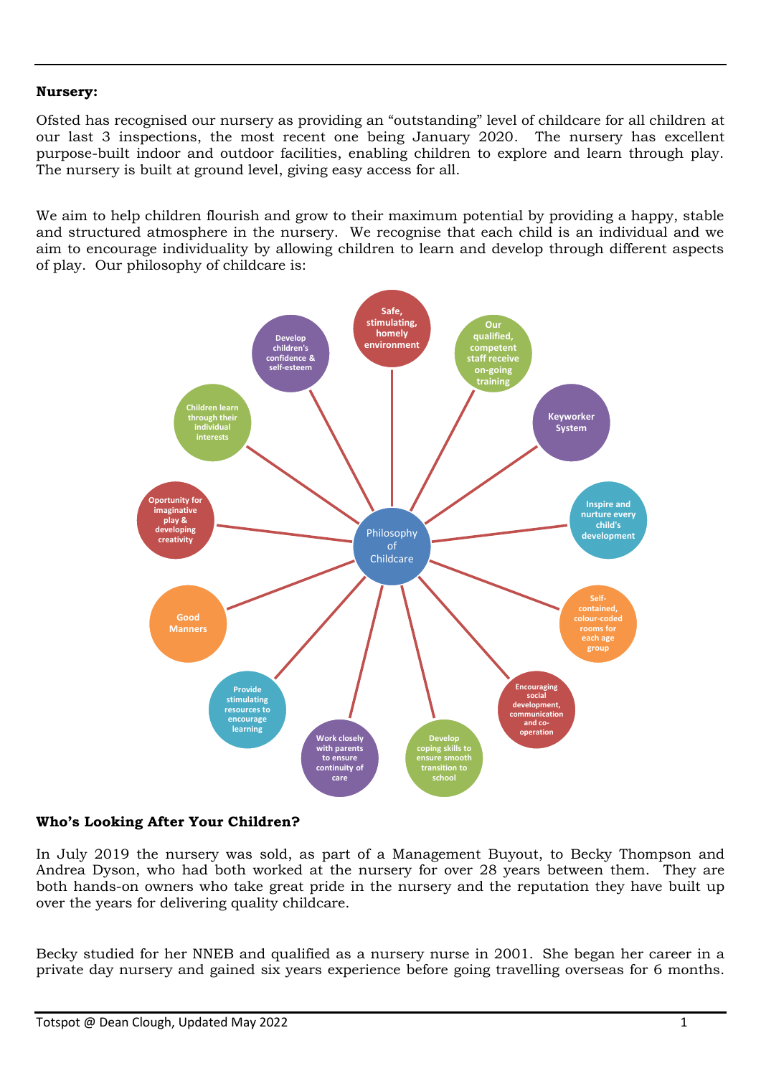### **Nursery:**

Ofsted has recognised our nursery as providing an "outstanding" level of childcare for all children at our last 3 inspections, the most recent one being January 2020. The nursery has excellent purpose-built indoor and outdoor facilities, enabling children to explore and learn through play. The nursery is built at ground level, giving easy access for all.

We aim to help children flourish and grow to their maximum potential by providing a happy, stable and structured atmosphere in the nursery. We recognise that each child is an individual and we aim to encourage individuality by allowing children to learn and develop through different aspects of play. Our philosophy of childcare is:



#### **Who's Looking After Your Children?**

In July 2019 the nursery was sold, as part of a Management Buyout, to Becky Thompson and Andrea Dyson, who had both worked at the nursery for over 28 years between them. They are both hands-on owners who take great pride in the nursery and the reputation they have built up over the years for delivering quality childcare.

Becky studied for her NNEB and qualified as a nursery nurse in 2001. She began her career in a private day nursery and gained six years experience before going travelling overseas for 6 months.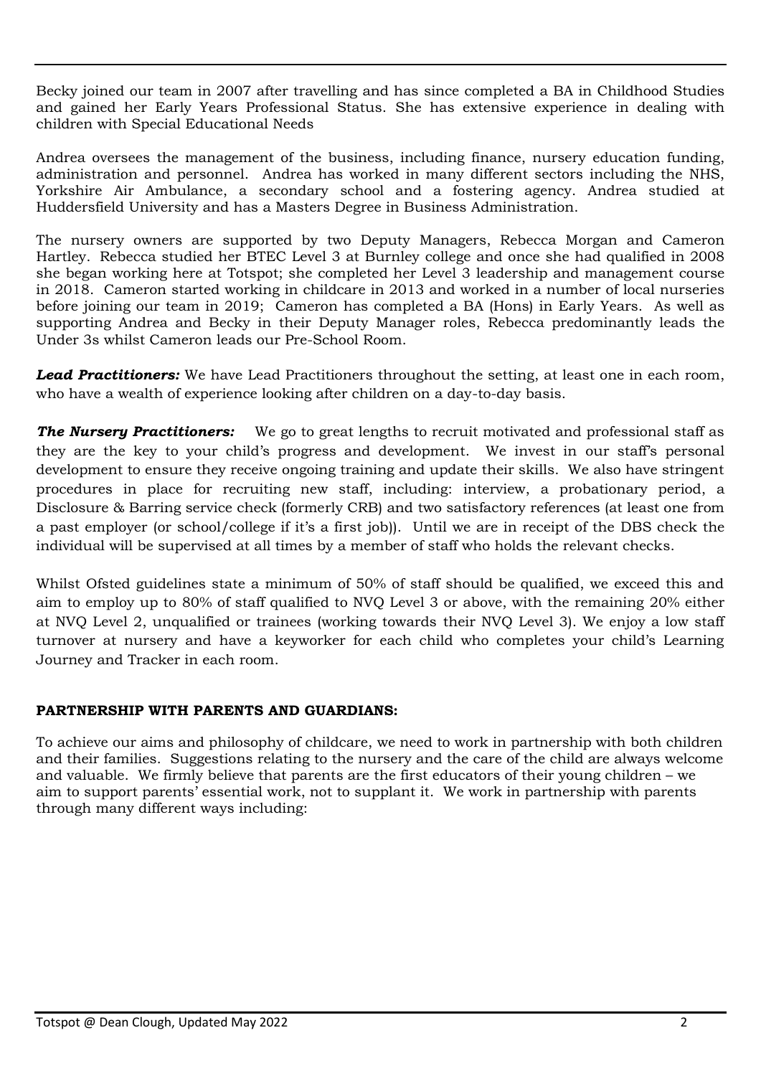Becky joined our team in 2007 after travelling and has since completed a BA in Childhood Studies and gained her Early Years Professional Status. She has extensive experience in dealing with children with Special Educational Needs

Andrea oversees the management of the business, including finance, nursery education funding, administration and personnel. Andrea has worked in many different sectors including the NHS, Yorkshire Air Ambulance, a secondary school and a fostering agency. Andrea studied at Huddersfield University and has a Masters Degree in Business Administration.

The nursery owners are supported by two Deputy Managers, Rebecca Morgan and Cameron Hartley. Rebecca studied her BTEC Level 3 at Burnley college and once she had qualified in 2008 she began working here at Totspot; she completed her Level 3 leadership and management course in 2018. Cameron started working in childcare in 2013 and worked in a number of local nurseries before joining our team in 2019; Cameron has completed a BA (Hons) in Early Years. As well as supporting Andrea and Becky in their Deputy Manager roles, Rebecca predominantly leads the Under 3s whilst Cameron leads our Pre-School Room.

**Lead Practitioners:** We have Lead Practitioners throughout the setting, at least one in each room, who have a wealth of experience looking after children on a day-to-day basis.

**The Nursery Practitioners:** We go to great lengths to recruit motivated and professional staff as they are the key to your child's progress and development. We invest in our staff's personal development to ensure they receive ongoing training and update their skills. We also have stringent procedures in place for recruiting new staff, including: interview, a probationary period, a Disclosure & Barring service check (formerly CRB) and two satisfactory references (at least one from a past employer (or school/college if it's a first job)). Until we are in receipt of the DBS check the individual will be supervised at all times by a member of staff who holds the relevant checks.

Whilst Ofsted guidelines state a minimum of 50% of staff should be qualified, we exceed this and aim to employ up to 80% of staff qualified to NVQ Level 3 or above, with the remaining 20% either at NVQ Level 2, unqualified or trainees (working towards their NVQ Level 3). We enjoy a low staff turnover at nursery and have a keyworker for each child who completes your child's Learning Journey and Tracker in each room.

### **PARTNERSHIP WITH PARENTS AND GUARDIANS:**

To achieve our aims and philosophy of childcare, we need to work in partnership with both children and their families. Suggestions relating to the nursery and the care of the child are always welcome and valuable. We firmly believe that parents are the first educators of their young children – we aim to support parents' essential work, not to supplant it. We work in partnership with parents through many different ways including: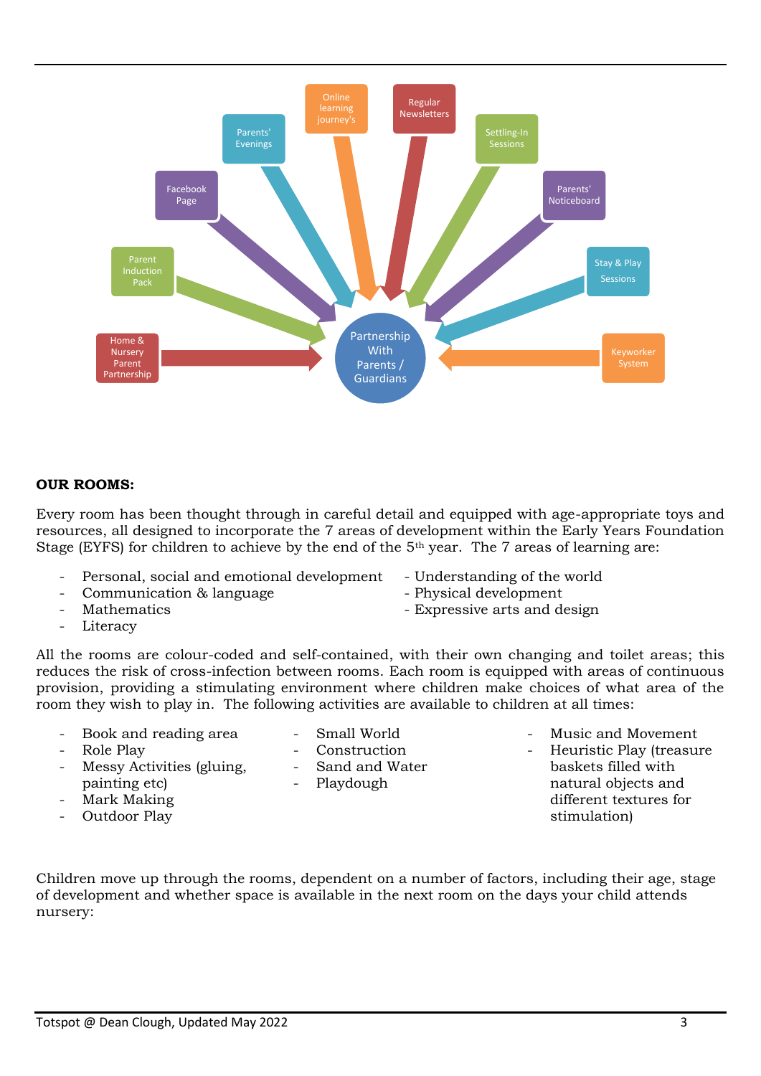

**Online** 

### **OUR ROOMS:**

Every room has been thought through in careful detail and equipped with age-appropriate toys and resources, all designed to incorporate the 7 areas of development within the Early Years Foundation Stage (EYFS) for children to achieve by the end of the 5<sup>th</sup> year. The 7 areas of learning are:

- Personal, social and emotional development Understanding of the world
- Communication & language Physical development
- 
- Literacy
- 
- 
- Mathematics  **Expressive arts and design**

All the rooms are colour-coded and self-contained, with their own changing and toilet areas; this reduces the risk of cross-infection between rooms. Each room is equipped with areas of continuous provision, providing a stimulating environment where children make choices of what area of the room they wish to play in. The following activities are available to children at all times:

- Book and reading area
- Role Play
- Messy Activities (gluing, painting etc)
- Mark Making
- Outdoor Play
- Small World Construction
- Sand and Water
- Playdough
- Music and Movement Heuristic Play (treasure
- baskets filled with natural objects and different textures for stimulation)

Children move up through the rooms, dependent on a number of factors, including their age, stage of development and whether space is available in the next room on the days your child attends nursery: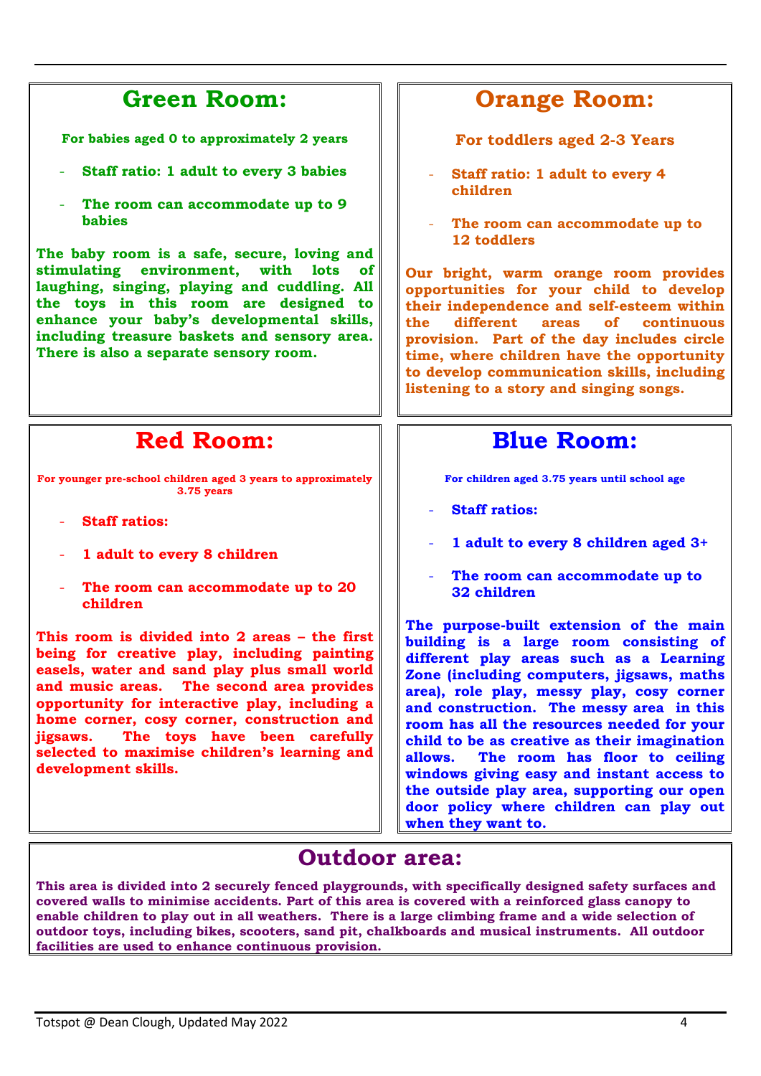## **Green Room:**

**For babies aged 0 to approximately 2 years**

- **Staff ratio: 1 adult to every 3 babies**
- The room can accommodate up to 9 **babies**

**The baby room is a safe, secure, loving and stimulating environment, with lots of laughing, singing, playing and cuddling. All the toys in this room are designed to enhance your baby's developmental skills, including treasure baskets and sensory area. There is also a separate sensory room.** 

# **Red Room:**

**For younger pre-school children aged 3 years to approximately 3.75 years**

- **Staff ratios:**
- **1 adult to every 8 children**
- The room can accommodate up to 20 **children**

**This room is divided into 2 areas – the first being for creative play, including painting easels, water and sand play plus small world and music areas. The second area provides opportunity for interactive play, including a home corner, cosy corner, construction and jigsaws. The toys have been carefully selected to maximise children's learning and development skills.** 

# **Orange Room:**

**For toddlers aged 2-3 Years**

- **Staff ratio: 1 adult to every 4 children**
- **The room can accommodate up to 12 toddlers**

**Our bright, warm orange room provides opportunities for your child to develop their independence and self-esteem within the different areas of continuous provision. Part of the day includes circle time, where children have the opportunity to develop communication skills, including listening to a story and singing songs.** 

### **Blue Room:**

**For children aged 3.75 years until school age**

- **Staff ratios:**
- **1 adult to every 8 children aged 3+**
- **The room can accommodate up to 32 children**

**The purpose-built extension of the main building is a large room consisting of different play areas such as a Learning Zone (including computers, jigsaws, maths area), role play, messy play, cosy corner and construction. The messy area in this room has all the resources needed for your child to be as creative as their imagination allows. The room has floor to ceiling windows giving easy and instant access to the outside play area, supporting our open door policy where children can play out when they want to.**

### **Outdoor area:**

**This area is divided into 2 securely fenced playgrounds, with specifically designed safety surfaces and covered walls to minimise accidents. Part of this area is covered with a reinforced glass canopy to enable children to play out in all weathers. There is a large climbing frame and a wide selection of outdoor toys, including bikes, scooters, sand pit, chalkboards and musical instruments. All outdoor facilities are used to enhance continuous provision.**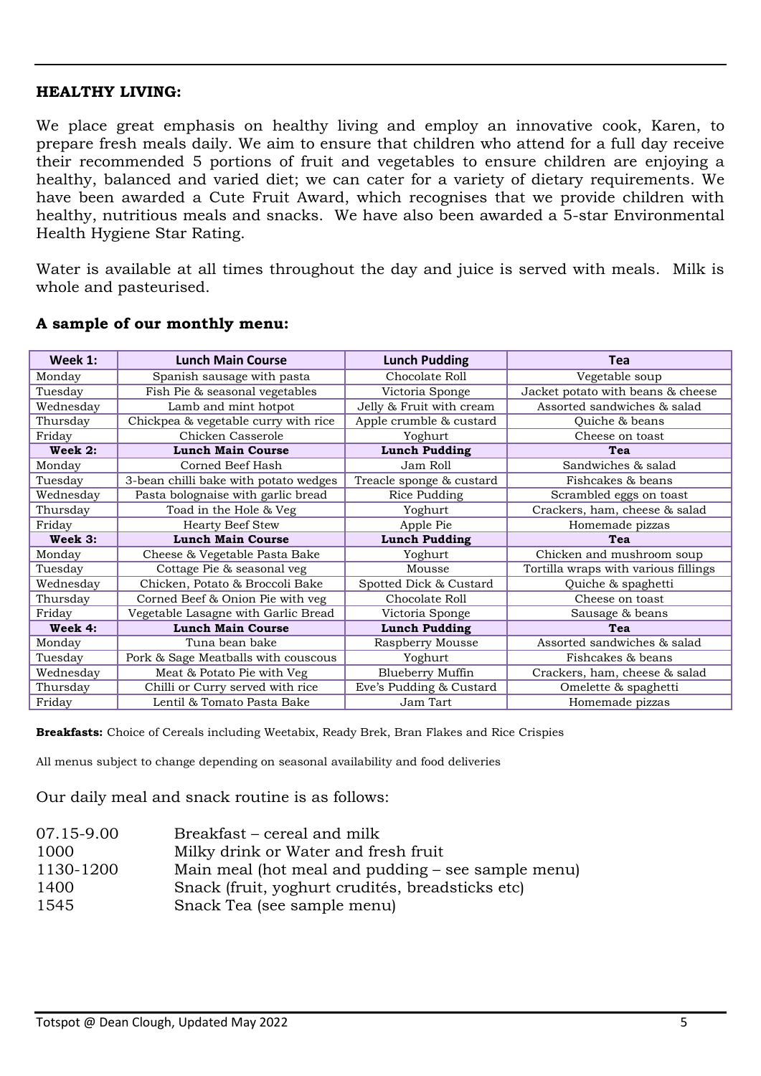### **HEALTHY LIVING:**

We place great emphasis on healthy living and employ an innovative cook, Karen, to prepare fresh meals daily. We aim to ensure that children who attend for a full day receive their recommended 5 portions of fruit and vegetables to ensure children are enjoying a healthy, balanced and varied diet; we can cater for a variety of dietary requirements. We have been awarded a Cute Fruit Award, which recognises that we provide children with healthy, nutritious meals and snacks. We have also been awarded a 5-star Environmental Health Hygiene Star Rating.

Water is available at all times throughout the day and juice is served with meals. Milk is whole and pasteurised.

| Week 1:   | <b>Lunch Main Course</b>              | <b>Lunch Pudding</b>     | <b>Tea</b>                           |  |
|-----------|---------------------------------------|--------------------------|--------------------------------------|--|
| Monday    | Spanish sausage with pasta            | Chocolate Roll           | Vegetable soup                       |  |
| Tuesday   | Fish Pie & seasonal vegetables        | Victoria Sponge          | Jacket potato with beans & cheese    |  |
| Wednesday | Lamb and mint hotpot                  | Jelly & Fruit with cream | Assorted sandwiches & salad          |  |
| Thursday  | Chickpea & vegetable curry with rice  | Apple crumble & custard  | Quiche & beans                       |  |
| Friday    | Chicken Casserole                     | Yoghurt                  | Cheese on toast                      |  |
| Week 2:   | <b>Lunch Main Course</b>              | <b>Lunch Pudding</b>     | Tea                                  |  |
| Monday    | Corned Beef Hash                      | Jam Roll                 | Sandwiches & salad                   |  |
| Tuesday   | 3-bean chilli bake with potato wedges | Treacle sponge & custard | Fishcakes & beans                    |  |
| Wednesday | Pasta bolognaise with garlic bread    | Rice Pudding             | Scrambled eggs on toast              |  |
| Thursday  | Toad in the Hole & Veg                | Yoghurt                  | Crackers, ham, cheese & salad        |  |
| Friday    | <b>Hearty Beef Stew</b>               | Apple Pie                | Homemade pizzas                      |  |
| Week 3:   | <b>Lunch Main Course</b>              | <b>Lunch Pudding</b>     | Tea                                  |  |
| Monday    | Cheese & Vegetable Pasta Bake         | Yoghurt                  | Chicken and mushroom soup            |  |
| Tuesday   | Cottage Pie & seasonal veg            | Mousse                   | Tortilla wraps with various fillings |  |
| Wednesday | Chicken, Potato & Broccoli Bake       | Spotted Dick & Custard   | Quiche & spaghetti                   |  |
| Thursday  | Corned Beef & Onion Pie with veg      | Chocolate Roll           | Cheese on toast                      |  |
| Friday    | Vegetable Lasagne with Garlic Bread   | Victoria Sponge          | Sausage & beans                      |  |
| Week 4:   | <b>Lunch Main Course</b>              | <b>Lunch Pudding</b>     | Tea                                  |  |
| Monday    | Tuna bean bake                        | Raspberry Mousse         | Assorted sandwiches & salad          |  |
| Tuesday   | Pork & Sage Meatballs with couscous   | Yoghurt                  | Fishcakes & beans                    |  |
| Wednesday | Meat & Potato Pie with Veg            | <b>Blueberry Muffin</b>  | Crackers, ham, cheese & salad        |  |
| Thursday  | Chilli or Curry served with rice      | Eve's Pudding & Custard  | Omelette & spaghetti                 |  |
| Friday    | Lentil & Tomato Pasta Bake            | Jam Tart                 | Homemade pizzas                      |  |

#### **A sample of our monthly menu:**

**Breakfasts:** Choice of Cereals including Weetabix, Ready Brek, Bran Flakes and Rice Crispies

All menus subject to change depending on seasonal availability and food deliveries

Our daily meal and snack routine is as follows:

| 07.15-9.00 | Breakfast – cereal and milk                        |
|------------|----------------------------------------------------|
| 1000       | Milky drink or Water and fresh fruit               |
| 1130-1200  | Main meal (hot meal and pudding – see sample menu) |
| 1400       | Snack (fruit, yoghurt crudités, breadsticks etc)   |
| 1545       | Snack Tea (see sample menu)                        |
|            |                                                    |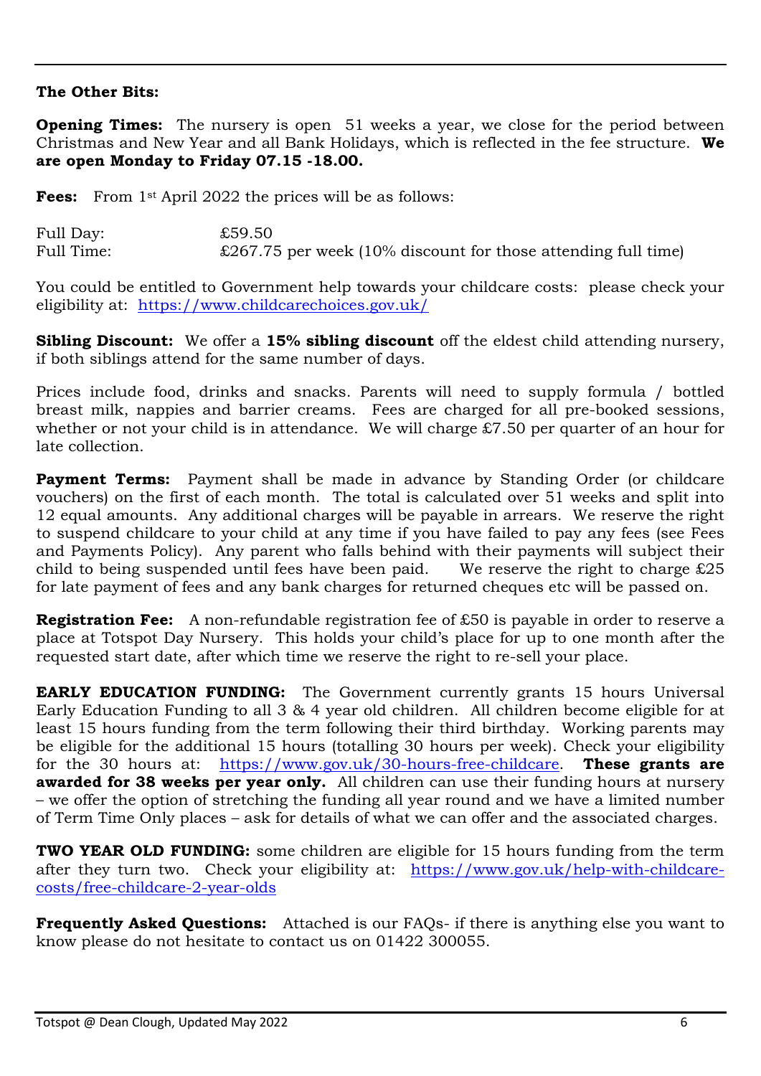### **The Other Bits:**

**Opening Times:** The nursery is open 51 weeks a year, we close for the period between Christmas and New Year and all Bank Holidays, which is reflected in the fee structure. **We are open Monday to Friday 07.15 -18.00.**

**Fees:** From 1<sup>st</sup> April 2022 the prices will be as follows:

| Full Day:  | £59.50                                                                 |
|------------|------------------------------------------------------------------------|
| Full Time: | $\pounds$ 267.75 per week (10% discount for those attending full time) |

You could be entitled to Government help towards your childcare costs: please check your eligibility at: <https://www.childcarechoices.gov.uk/>

**Sibling Discount:** We offer a **15% sibling discount** off the eldest child attending nursery, if both siblings attend for the same number of days.

Prices include food, drinks and snacks. Parents will need to supply formula / bottled breast milk, nappies and barrier creams. Fees are charged for all pre-booked sessions, whether or not your child is in attendance. We will charge £7.50 per quarter of an hour for late collection.

**Payment Terms:** Payment shall be made in advance by Standing Order (or childcare vouchers) on the first of each month. The total is calculated over 51 weeks and split into 12 equal amounts. Any additional charges will be payable in arrears. We reserve the right to suspend childcare to your child at any time if you have failed to pay any fees (see Fees and Payments Policy). Any parent who falls behind with their payments will subject their child to being suspended until fees have been paid. We reserve the right to charge  $£25$ child to being suspended until fees have been paid. for late payment of fees and any bank charges for returned cheques etc will be passed on.

**Registration Fee:** A non-refundable registration fee of £50 is payable in order to reserve a place at Totspot Day Nursery. This holds your child's place for up to one month after the requested start date, after which time we reserve the right to re-sell your place.

**EARLY EDUCATION FUNDING:** The Government currently grants 15 hours Universal Early Education Funding to all 3 & 4 year old children. All children become eligible for at least 15 hours funding from the term following their third birthday. Working parents may be eligible for the additional 15 hours (totalling 30 hours per week). Check your eligibility for the 30 hours at: https://www.gov.uk/30-hours-free-childcare. These grants are for the 30 hours at: [https://www.gov.uk/30-hours-free-childcare.](https://www.gov.uk/30-hours-free-childcare) **awarded for 38 weeks per year only.** All children can use their funding hours at nursery – we offer the option of stretching the funding all year round and we have a limited number of Term Time Only places – ask for details of what we can offer and the associated charges.

**TWO YEAR OLD FUNDING:** some children are eligible for 15 hours funding from the term after they turn two. Check your eligibility at: [https://www.gov.uk/help-with-childcare](https://www.gov.uk/help-with-childcare-costs/free-childcare-2-year-olds)[costs/free-childcare-2-year-olds](https://www.gov.uk/help-with-childcare-costs/free-childcare-2-year-olds)

**Frequently Asked Questions:** Attached is our FAQs- if there is anything else you want to know please do not hesitate to contact us on 01422 300055.